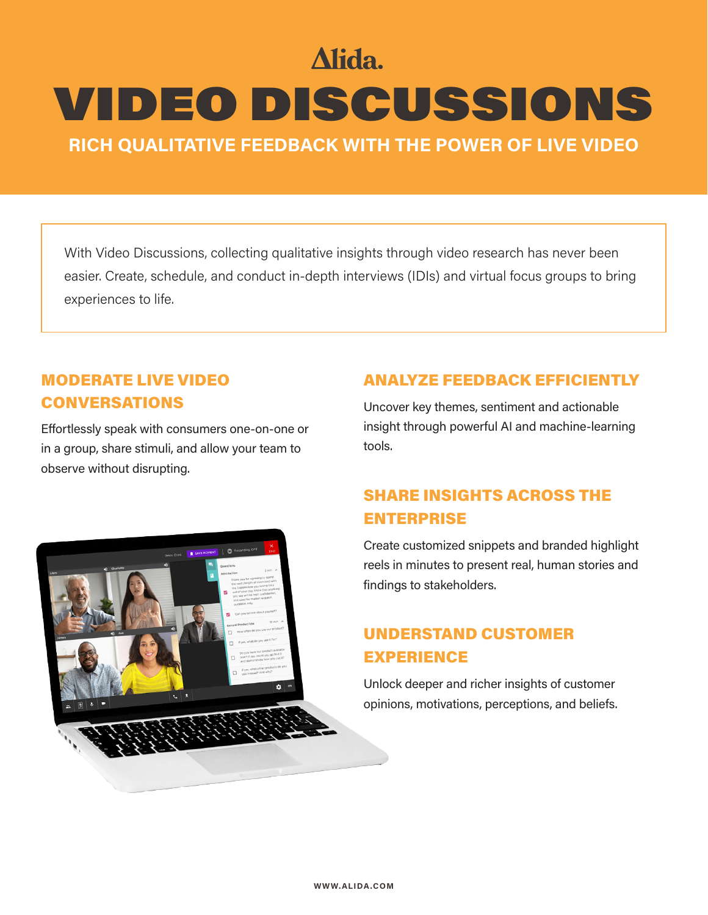# Alida.

# VIDEO DISCUSSIONS

**RICH QUALITATIVE FEEDBACK WITH THE POWER OF LIVE VIDEO**

With Video Discussions, collecting qualitative insights through video research has never been easier. Create, schedule, and conduct in-depth interviews (IDIs) and virtual focus groups to bring experiences to life.

## MODERATE LIVE VIDEO CONVERSATIONS

Effortlessly speak with consumers one-on-one or in a group, share stimuli, and allow your team to observe without disrupting.



## UNDERSTAND CUSTOMER EXPERIENCE

Unlock deeper and richer insights of customer opinions, motivations, perceptions, and beliefs.

## ANALYZE FEEDBACK EFFICIENTLY

Uncover key themes, sentiment and actionable insight through powerful AI and machine-learning tools.